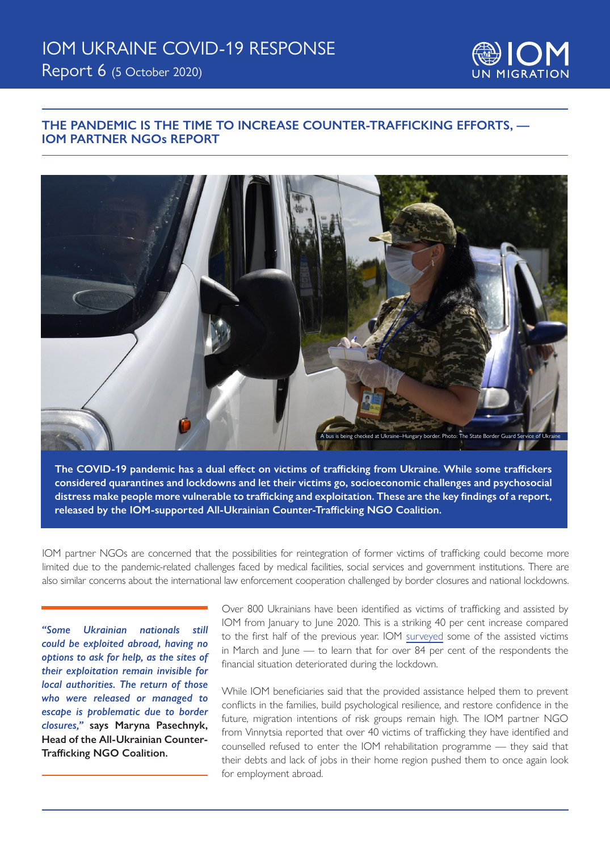

### **THE PANDEMIC IS THE TIME TO INCREASE COUNTER-TRAFFICKING EFFORTS, — IOM PARTNER NGOs REPORT**



**The COVID-19 pandemic has a dual effect on victims of trafficking from Ukraine. While some traffickers considered quarantines and lockdowns and let their victims go, socioeconomic challenges and psychosocial distress make people more vulnerable to trafficking and exploitation. These are the key findings of a report, released by the IOM-supported All-Ukrainian Counter-Trafficking NGO Coalition.**

IOM partner NGOs are concerned that the possibilities for reintegration of former victims of trafficking could become more limited due to the pandemic-related challenges faced by medical facilities, social services and government institutions. There are also similar concerns about the international law enforcement cooperation challenged by border closures and national lockdowns.

*"Some Ukrainian nationals still could be exploited abroad, having no options to ask for help, as the sites of their exploitation remain invisible for local authorities. The return of those who were released or managed to escape is problematic due to border closures,"* **says Maryna Pasechnyk, Head of the All-Ukrainian Counter-Trafficking NGO Coalition.**

Over 800 Ukrainians have been identified as victims of trafficking and assisted by IOM from January to June 2020. This is a striking 40 per cent increase compared to the first half of the previous year. IOM surveyed some of the assisted victims in March and June — to learn that for over 84 per cent of the respondents the financial situation deteriorated during the lockdown.

While IOM beneficiaries said that the provided assistance helped them to prevent conflicts in the families, build psychological resilience, and restore confidence in the future, migration intentions of risk groups remain high. The IOM partner NGO from Vinnytsia reported that over 40 victims of trafficking they have identified and counselled refused to enter the IOM rehabilitation programme — they said that their debts and lack of jobs in their home region pushed them to once again look for employment abroad.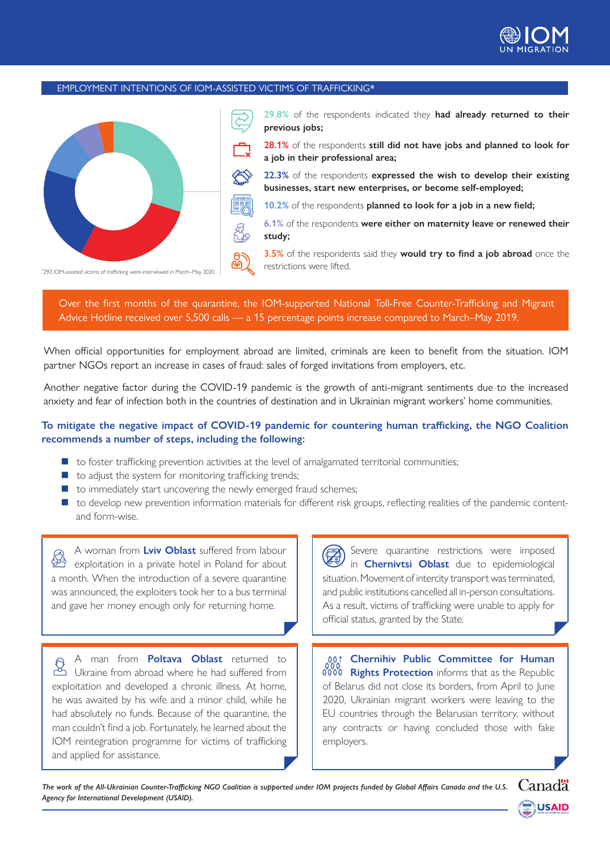

#### EMPLOYMENT INTENTIONS OF IOM-ASSISTED VICTIMS OF TRAFFICKING\*



**29.8%** of the respondents indicated they **had already returned to their previous jobs;** 

**28.1%** of the respondents **still did not have jobs and planned to look for a job in their professional area;** 

**22.3%** of the respondents **expressed the wish to develop their existing businesses, start new enterprises, or become self-employed;** 

**10.2%** of the respondents **planned to look for a job in a new field;** 

**6.1%** of the respondents **were either on maternity leave or renewed their study;**

**3.5%** of the respondents said they **would try to find a job abroad** once the

Over the first months of the quarantine, the IOM-supported National Toll-Free Counter-Trafficking and Migrant Advice Hotline received over 5,500 calls — a 15 percentage points increase compared to March–May 2019.

When official opportunities for employment abroad are limited, criminals are keen to benefit from the situation. IOM partner NGOs report an increase in cases of fraud: sales of forged invitations from employers, etc.

Another negative factor during the COVID-19 pandemic is the growth of anti-migrant sentiments due to the increased anxiety and fear of infection both in the countries of destination and in Ukrainian migrant workers' home communities.

### **To mitigate the negative impact of COVID-19 pandemic for countering human trafficking, the NGO Coalition recommends a number of steps, including the following:**

- $\blacksquare$  to foster trafficking prevention activities at the level of amalgamated territorial communities;
- $\blacksquare$  to adjust the system for monitoring trafficking trends;
- $\blacksquare$  to immediately start uncovering the newly emerged fraud schemes;
- $\blacksquare$  to develop new prevention information materials for different risk groups, reflecting realities of the pandemic contentand form-wise.

A woman from **Lviv Oblast** suffered from labour  $\mathbb{R}$ exploitation in a private hotel in Poland for about a month. When the introduction of a severe quarantine was announced, the exploiters took her to a bus terminal and gave her money enough only for returning home.

A man from **Poltava Oblast** returned to B A High none is seen as<br>Ukraine from abroad where he had suffered from exploitation and developed a chronic illness. At home, he was awaited by his wife and a minor child, while he had absolutely no funds. Because of the quarantine, the man couldn't find a job. Fortunately, he learned about the IOM reintegration programme for victims of trafficking and applied for assistance.

Severe quarantine restrictions were imposed in **Chernivtsi Oblast** due to epidemiological situation. Movement of intercity transport was terminated, and public institutions cancelled all in-person consultations. As a result, victims of trafficking were unable to apply for official status, granted by the State.

**Chernihiv Public Committee for Human Rights Protection** informs that as the Republic of Belarus did not close its borders, from April to June 2020, Ukrainian migrant workers were leaving to the EU countries through the Belarusian territory, without any contracts or having concluded those with fake employers.

*The work of the All-Ukrainian Counter-Trafficking NGO Coalition is supported under IOM projects funded by Global Affairs Canada and the U.S. Agency for International Development (USAID).*